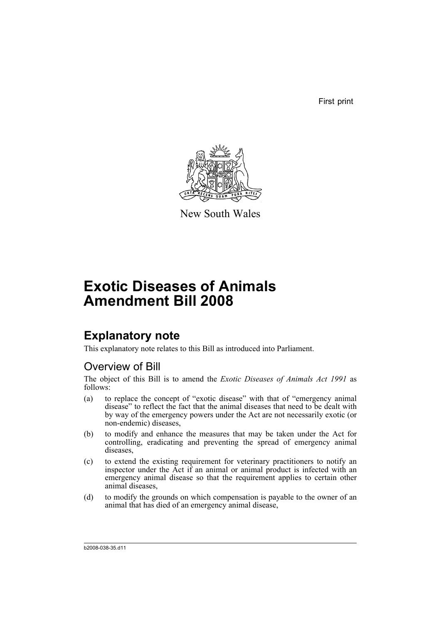First print



New South Wales

# **Exotic Diseases of Animals Amendment Bill 2008**

# **Explanatory note**

This explanatory note relates to this Bill as introduced into Parliament.

## Overview of Bill

The object of this Bill is to amend the *Exotic Diseases of Animals Act 1991* as follows:

- (a) to replace the concept of "exotic disease" with that of "emergency animal disease" to reflect the fact that the animal diseases that need to be dealt with by way of the emergency powers under the Act are not necessarily exotic (or non-endemic) diseases,
- (b) to modify and enhance the measures that may be taken under the Act for controlling, eradicating and preventing the spread of emergency animal diseases,
- (c) to extend the existing requirement for veterinary practitioners to notify an inspector under the Act if an animal or animal product is infected with an emergency animal disease so that the requirement applies to certain other animal diseases,
- (d) to modify the grounds on which compensation is payable to the owner of an animal that has died of an emergency animal disease,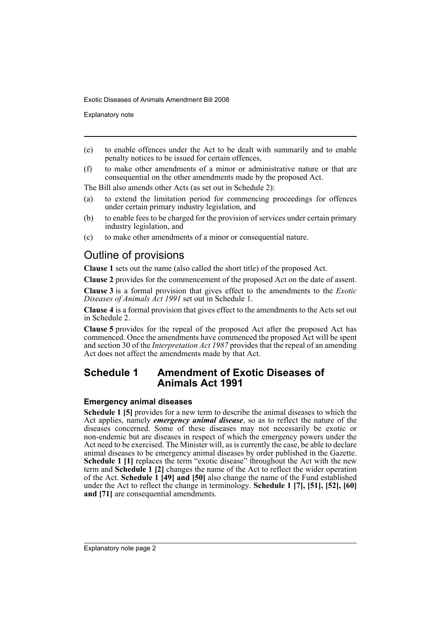Explanatory note

- (e) to enable offences under the Act to be dealt with summarily and to enable penalty notices to be issued for certain offences,
- (f) to make other amendments of a minor or administrative nature or that are consequential on the other amendments made by the proposed Act.

The Bill also amends other Acts (as set out in Schedule 2):

- (a) to extend the limitation period for commencing proceedings for offences under certain primary industry legislation, and
- (b) to enable fees to be charged for the provision of services under certain primary industry legislation, and
- (c) to make other amendments of a minor or consequential nature.

## Outline of provisions

**Clause 1** sets out the name (also called the short title) of the proposed Act.

**Clause 2** provides for the commencement of the proposed Act on the date of assent.

**Clause 3** is a formal provision that gives effect to the amendments to the *Exotic Diseases of Animals Act 1991* set out in Schedule 1.

**Clause 4** is a formal provision that gives effect to the amendments to the Acts set out in Schedule 2.

**Clause 5** provides for the repeal of the proposed Act after the proposed Act has commenced. Once the amendments have commenced the proposed Act will be spent and section 30 of the *Interpretation Act 1987* provides that the repeal of an amending Act does not affect the amendments made by that Act.

## **Schedule 1 Amendment of Exotic Diseases of Animals Act 1991**

## **Emergency animal diseases**

**Schedule 1 [5]** provides for a new term to describe the animal diseases to which the Act applies, namely *emergency animal disease*, so as to reflect the nature of the diseases concerned. Some of these diseases may not necessarily be exotic or non-endemic but are diseases in respect of which the emergency powers under the Act need to be exercised. The Minister will, as is currently the case, be able to declare animal diseases to be emergency animal diseases by order published in the Gazette. **Schedule 1 [1]** replaces the term "exotic disease" throughout the Act with the new term and **Schedule 1 [2]** changes the name of the Act to reflect the wider operation of the Act. **Schedule 1 [49] and [50]** also change the name of the Fund established under the Act to reflect the change in terminology. **Schedule 1 [7], [51], [52], [60] and [71]** are consequential amendments.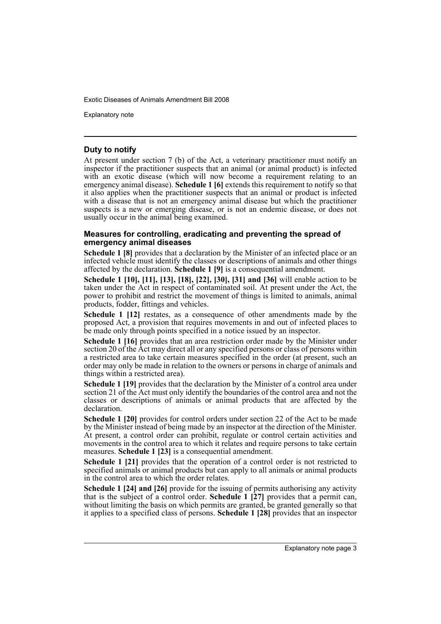Explanatory note

## **Duty to notify**

At present under section 7 (b) of the Act, a veterinary practitioner must notify an inspector if the practitioner suspects that an animal (or animal product) is infected with an exotic disease (which will now become a requirement relating to an emergency animal disease). **Schedule 1 [6]** extends this requirement to notify so that it also applies when the practitioner suspects that an animal or product is infected with a disease that is not an emergency animal disease but which the practitioner suspects is a new or emerging disease, or is not an endemic disease, or does not usually occur in the animal being examined.

#### **Measures for controlling, eradicating and preventing the spread of emergency animal diseases**

**Schedule 1 [8]** provides that a declaration by the Minister of an infected place or an infected vehicle must identify the classes or descriptions of animals and other things affected by the declaration. **Schedule 1 [9]** is a consequential amendment.

**Schedule 1 [10], [11], [13], [18], [22], [30], [31] and [36]** will enable action to be taken under the Act in respect of contaminated soil. At present under the Act, the power to prohibit and restrict the movement of things is limited to animals, animal products, fodder, fittings and vehicles.

**Schedule 1 [12]** restates, as a consequence of other amendments made by the proposed Act, a provision that requires movements in and out of infected places to be made only through points specified in a notice issued by an inspector.

**Schedule 1 [16]** provides that an area restriction order made by the Minister under section 20 of the Act may direct all or any specified persons or class of persons within a restricted area to take certain measures specified in the order (at present, such an order may only be made in relation to the owners or persons in charge of animals and things within a restricted area).

**Schedule 1 [19]** provides that the declaration by the Minister of a control area under section 21 of the Act must only identify the boundaries of the control area and not the classes or descriptions of animals or animal products that are affected by the declaration.

**Schedule 1 [20]** provides for control orders under section 22 of the Act to be made by the Minister instead of being made by an inspector at the direction of the Minister. At present, a control order can prohibit, regulate or control certain activities and movements in the control area to which it relates and require persons to take certain measures. **Schedule 1 [23]** is a consequential amendment.

**Schedule 1 [21]** provides that the operation of a control order is not restricted to specified animals or animal products but can apply to all animals or animal products in the control area to which the order relates.

**Schedule 1 [24] and [26]** provide for the issuing of permits authorising any activity that is the subject of a control order. **Schedule 1 [27]** provides that a permit can, without limiting the basis on which permits are granted, be granted generally so that it applies to a specified class of persons. **Schedule 1 [28]** provides that an inspector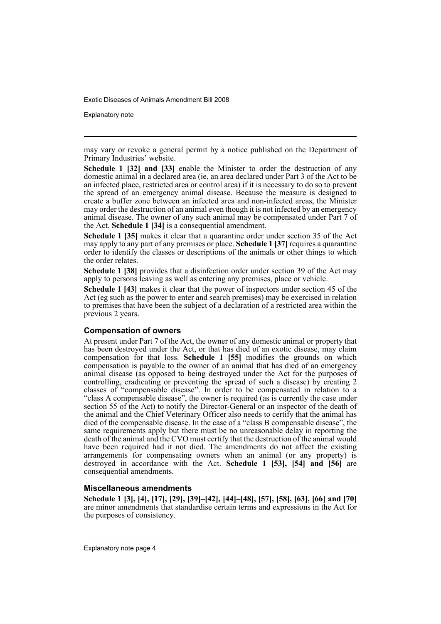Explanatory note

may vary or revoke a general permit by a notice published on the Department of Primary Industries' website.

**Schedule 1 [32] and [33]** enable the Minister to order the destruction of any domestic animal in a declared area (ie, an area declared under Part 3 of the Act to be an infected place, restricted area or control area) if it is necessary to do so to prevent the spread of an emergency animal disease. Because the measure is designed to create a buffer zone between an infected area and non-infected areas, the Minister may order the destruction of an animal even though it is not infected by an emergency animal disease. The owner of any such animal may be compensated under Part 7 of the Act. **Schedule 1 [34]** is a consequential amendment.

**Schedule 1 [35]** makes it clear that a quarantine order under section 35 of the Act may apply to any part of any premises or place. **Schedule 1 [37]** requires a quarantine order to identify the classes or descriptions of the animals or other things to which the order relates.

**Schedule 1 [38]** provides that a disinfection order under section 39 of the Act may apply to persons leaving as well as entering any premises, place or vehicle.

**Schedule 1 [43]** makes it clear that the power of inspectors under section 45 of the Act (eg such as the power to enter and search premises) may be exercised in relation to premises that have been the subject of a declaration of a restricted area within the previous 2 years.

## **Compensation of owners**

At present under Part 7 of the Act, the owner of any domestic animal or property that has been destroyed under the Act, or that has died of an exotic disease, may claim compensation for that loss. **Schedule 1 [55]** modifies the grounds on which compensation is payable to the owner of an animal that has died of an emergency animal disease (as opposed to being destroyed under the Act for the purposes of controlling, eradicating or preventing the spread of such a disease) by creating 2 classes of "compensable disease". In order to be compensated in relation to a "class A compensable disease", the owner is required (as is currently the case under section 55 of the Act) to notify the Director-General or an inspector of the death of the animal and the Chief Veterinary Officer also needs to certify that the animal has died of the compensable disease. In the case of a "class B compensable disease", the same requirements apply but there must be no unreasonable delay in reporting the death of the animal and the CVO must certify that the destruction of the animal would have been required had it not died. The amendments do not affect the existing arrangements for compensating owners when an animal (or any property) is destroyed in accordance with the Act. **Schedule 1 [53], [54] and [56]** are consequential amendments.

#### **Miscellaneous amendments**

**Schedule 1 [3], [4], [17], [29], [39]–[42], [44]–[48], [57], [58], [63], [66] and [70]** are minor amendments that standardise certain terms and expressions in the Act for the purposes of consistency.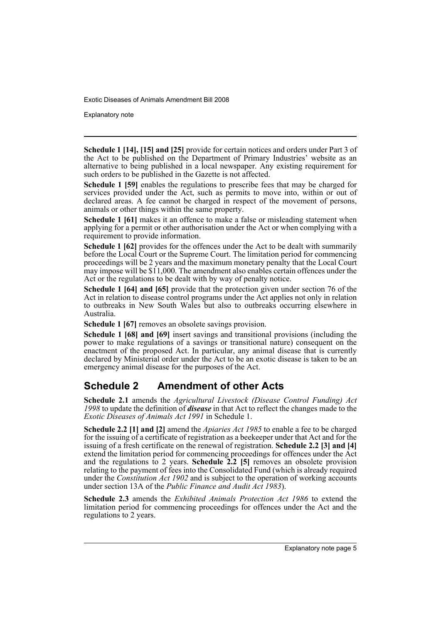Explanatory note

**Schedule 1 [14], [15] and [25]** provide for certain notices and orders under Part 3 of the Act to be published on the Department of Primary Industries' website as an alternative to being published in a local newspaper. Any existing requirement for such orders to be published in the Gazette is not affected.

**Schedule 1 [59]** enables the regulations to prescribe fees that may be charged for services provided under the Act, such as permits to move into, within or out of declared areas. A fee cannot be charged in respect of the movement of persons, animals or other things within the same property.

**Schedule 1 [61]** makes it an offence to make a false or misleading statement when applying for a permit or other authorisation under the Act or when complying with a requirement to provide information.

**Schedule 1 [62]** provides for the offences under the Act to be dealt with summarily before the Local Court or the Supreme Court. The limitation period for commencing proceedings will be 2 years and the maximum monetary penalty that the Local Court may impose will be \$11,000. The amendment also enables certain offences under the Act or the regulations to be dealt with by way of penalty notice.

**Schedule 1 [64] and [65]** provide that the protection given under section 76 of the Act in relation to disease control programs under the Act applies not only in relation to outbreaks in New South Wales but also to outbreaks occurring elsewhere in Australia.

**Schedule 1 [67]** removes an obsolete savings provision.

**Schedule 1 [68] and [69]** insert savings and transitional provisions (including the power to make regulations of a savings or transitional nature) consequent on the enactment of the proposed Act. In particular, any animal disease that is currently declared by Ministerial order under the Act to be an exotic disease is taken to be an emergency animal disease for the purposes of the Act.

## **Schedule 2 Amendment of other Acts**

**Schedule 2.1** amends the *Agricultural Livestock (Disease Control Funding) Act 1998* to update the definition of *disease* in that Act to reflect the changes made to the *Exotic Diseases of Animals Act 1991* in Schedule 1.

**Schedule 2.2 [1] and [2]** amend the *Apiaries Act 1985* to enable a fee to be charged for the issuing of a certificate of registration as a beekeeper under that Act and for the issuing of a fresh certificate on the renewal of registration. **Schedule 2.2 [3] and [4]** extend the limitation period for commencing proceedings for offences under the Act and the regulations to 2 years. **Schedule 2.2** [5] removes an obsolete provision relating to the payment of fees into the Consolidated Fund (which is already required under the *Constitution Act 1902* and is subject to the operation of working accounts under section 13A of the *Public Finance and Audit Act 1983*).

**Schedule 2.3** amends the *Exhibited Animals Protection Act 1986* to extend the limitation period for commencing proceedings for offences under the Act and the regulations to 2 years.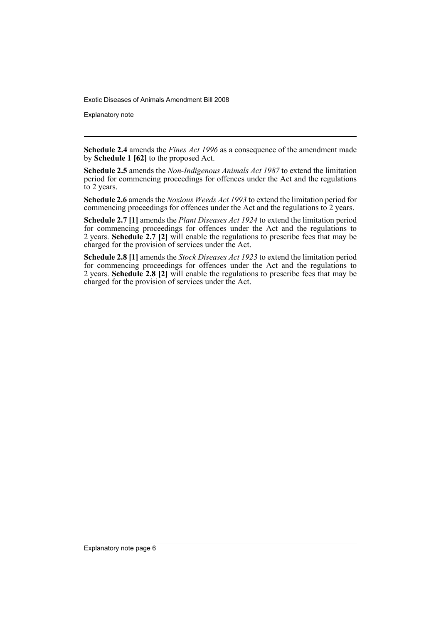Explanatory note

**Schedule 2.4** amends the *Fines Act 1996* as a consequence of the amendment made by **Schedule 1 [62]** to the proposed Act.

**Schedule 2.5** amends the *Non-Indigenous Animals Act 1987* to extend the limitation period for commencing proceedings for offences under the Act and the regulations to 2 years.

**Schedule 2.6** amends the *Noxious Weeds Act 1993* to extend the limitation period for commencing proceedings for offences under the Act and the regulations to 2 years.

**Schedule 2.7 [1]** amends the *Plant Diseases Act 1924* to extend the limitation period for commencing proceedings for offences under the Act and the regulations to 2 years. **Schedule 2.7 [2]** will enable the regulations to prescribe fees that may be charged for the provision of services under the Act.

**Schedule 2.8 [1]** amends the *Stock Diseases Act 1923* to extend the limitation period for commencing proceedings for offences under the Act and the regulations to 2 years. **Schedule 2.8 [2]** will enable the regulations to prescribe fees that may be charged for the provision of services under the Act.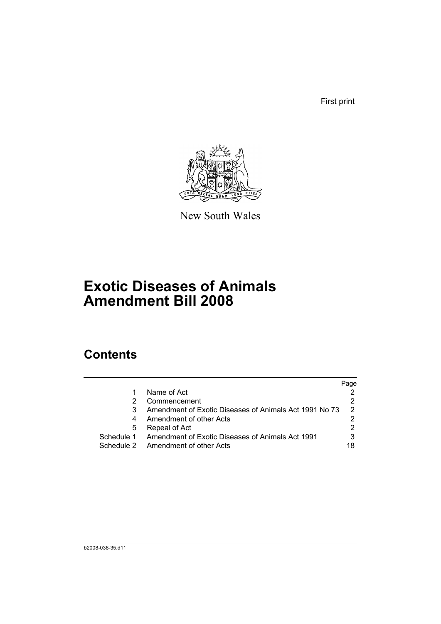First print



New South Wales

# **Exotic Diseases of Animals Amendment Bill 2008**

# **Contents**

|            |                                                        | Page |
|------------|--------------------------------------------------------|------|
|            | Name of Act                                            |      |
|            | Commencement                                           |      |
| 3          | Amendment of Exotic Diseases of Animals Act 1991 No 73 | 2    |
| 4          | Amendment of other Acts                                |      |
| 5          | Repeal of Act                                          |      |
| Schedule 1 | Amendment of Exotic Diseases of Animals Act 1991       | 3    |
|            | Schedule 2 Amendment of other Acts                     | 18   |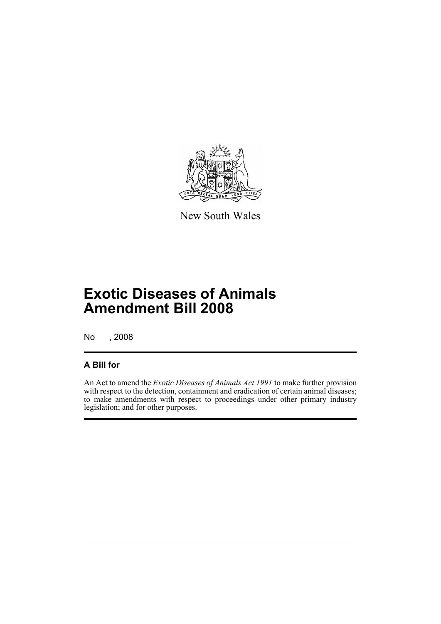

New South Wales

# **Exotic Diseases of Animals Amendment Bill 2008**

No , 2008

## **A Bill for**

An Act to amend the *Exotic Diseases of Animals Act 1991* to make further provision with respect to the detection, containment and eradication of certain animal diseases; to make amendments with respect to proceedings under other primary industry legislation; and for other purposes.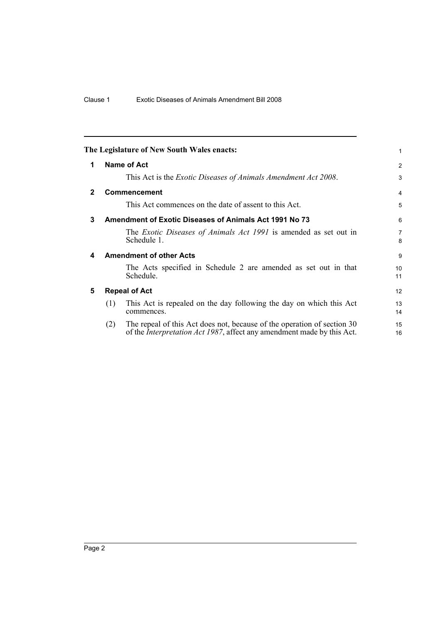<span id="page-9-4"></span><span id="page-9-3"></span><span id="page-9-2"></span><span id="page-9-1"></span><span id="page-9-0"></span>

|              |     | The Legislature of New South Wales enacts:                                                                                                                | 1                     |
|--------------|-----|-----------------------------------------------------------------------------------------------------------------------------------------------------------|-----------------------|
| 1            |     | Name of Act                                                                                                                                               | 2                     |
|              |     | This Act is the <i>Exotic Diseases of Animals Amendment Act 2008</i> .                                                                                    | 3                     |
| $\mathbf{2}$ |     | Commencement                                                                                                                                              | 4                     |
|              |     | This Act commences on the date of assent to this Act.                                                                                                     | 5                     |
| 3            |     | <b>Amendment of Exotic Diseases of Animals Act 1991 No 73</b>                                                                                             | 6                     |
|              |     | The Exotic Diseases of Animals Act 1991 is amended as set out in<br>Schedule 1.                                                                           | $\overline{7}$<br>8   |
| 4            |     | <b>Amendment of other Acts</b>                                                                                                                            | 9                     |
|              |     | The Acts specified in Schedule 2 are amended as set out in that<br>Schedule.                                                                              | 10 <sup>1</sup><br>11 |
| 5            |     | <b>Repeal of Act</b>                                                                                                                                      | 12                    |
|              | (1) | This Act is repealed on the day following the day on which this Act<br>commences.                                                                         | 13<br>14              |
|              | (2) | The repeal of this Act does not, because of the operation of section 30<br>of the <i>Interpretation Act 1987</i> , affect any amendment made by this Act. | 15<br>16              |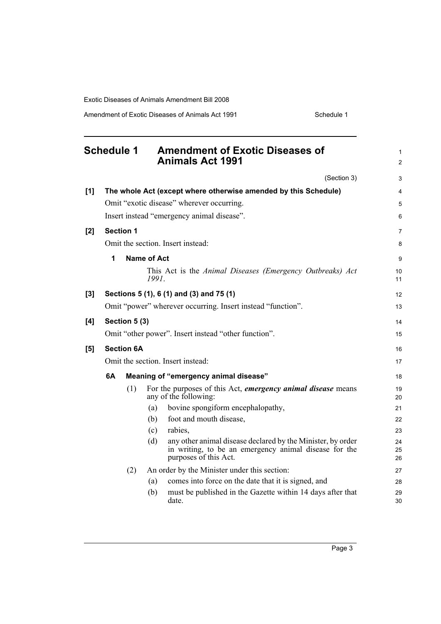Amendment of Exotic Diseases of Animals Act 1991 Schedule 1

<span id="page-10-0"></span>

|       | <b>Schedule 1</b> |                  | <b>Amendment of Exotic Diseases of</b><br><b>Animals Act 1991</b>                                                                                    | 1<br>$\overline{2}$ |  |  |
|-------|-------------------|------------------|------------------------------------------------------------------------------------------------------------------------------------------------------|---------------------|--|--|
|       |                   |                  | (Section 3)                                                                                                                                          | 3                   |  |  |
| [1]   |                   |                  | The whole Act (except where otherwise amended by this Schedule)                                                                                      | 4                   |  |  |
|       |                   |                  | Omit "exotic disease" wherever occurring.                                                                                                            | 5                   |  |  |
|       |                   |                  | Insert instead "emergency animal disease".                                                                                                           | 6                   |  |  |
| [2]   |                   | <b>Section 1</b> |                                                                                                                                                      | 7                   |  |  |
|       |                   |                  | Omit the section. Insert instead:                                                                                                                    | 8                   |  |  |
|       | 1                 |                  | Name of Act                                                                                                                                          | 9                   |  |  |
|       |                   |                  | This Act is the Animal Diseases (Emergency Outbreaks) Act<br>1991.                                                                                   | 10<br>11            |  |  |
| $[3]$ |                   |                  | Sections 5 (1), 6 (1) and (3) and 75 (1)                                                                                                             | 12                  |  |  |
|       |                   |                  | Omit "power" wherever occurring. Insert instead "function".                                                                                          | 13                  |  |  |
| [4]   |                   | Section 5 (3)    |                                                                                                                                                      | 14                  |  |  |
|       |                   |                  | Omit "other power". Insert instead "other function".                                                                                                 | 15                  |  |  |
| [5]   | <b>Section 6A</b> |                  |                                                                                                                                                      |                     |  |  |
|       |                   |                  | Omit the section. Insert instead:                                                                                                                    | 17                  |  |  |
|       | 6A                |                  | Meaning of "emergency animal disease"                                                                                                                | 18                  |  |  |
|       |                   | (1)              | For the purposes of this Act, <i>emergency animal disease</i> means<br>any of the following:                                                         | 19<br>20            |  |  |
|       |                   |                  | bovine spongiform encephalopathy,<br>(a)                                                                                                             | 21                  |  |  |
|       |                   |                  | foot and mouth disease,<br>(b)                                                                                                                       | 22                  |  |  |
|       |                   |                  | rabies,<br>(c)                                                                                                                                       | 23                  |  |  |
|       |                   |                  | any other animal disease declared by the Minister, by order<br>(d)<br>in writing, to be an emergency animal disease for the<br>purposes of this Act. | 24<br>25<br>26      |  |  |
|       |                   | (2)              | An order by the Minister under this section:                                                                                                         | 27                  |  |  |
|       |                   |                  | comes into force on the date that it is signed, and<br>(a)                                                                                           | 28                  |  |  |
|       |                   |                  | must be published in the Gazette within 14 days after that<br>(b)<br>date.                                                                           | 29<br>30            |  |  |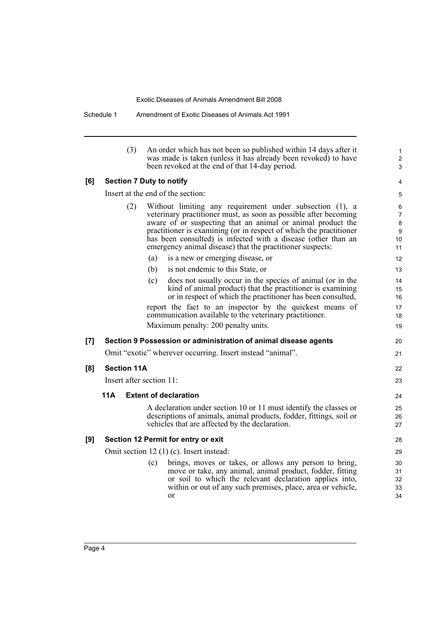Schedule 1 Amendment of Exotic Diseases of Animals Act 1991

|       | (3)                      | An order which has not been so published within 14 days after it<br>was made is taken (unless it has already been revoked) to have<br>been revoked at the end of that 14-day period.                                                                                                                                                                                                            | 1<br>$\overline{\mathbf{c}}$<br>3         |
|-------|--------------------------|-------------------------------------------------------------------------------------------------------------------------------------------------------------------------------------------------------------------------------------------------------------------------------------------------------------------------------------------------------------------------------------------------|-------------------------------------------|
| [6]   |                          | <b>Section 7 Duty to notify</b>                                                                                                                                                                                                                                                                                                                                                                 | 4                                         |
|       |                          | Insert at the end of the section:                                                                                                                                                                                                                                                                                                                                                               | 5                                         |
|       | (2)                      | Without limiting any requirement under subsection (1), a<br>veterinary practitioner must, as soon as possible after becoming<br>aware of or suspecting that an animal or animal product the<br>practitioner is examining (or in respect of which the practitioner<br>has been consulted) is infected with a disease (other than an<br>emergency animal disease) that the practitioner suspects: | 6<br>$\overline{7}$<br>8<br>9<br>10<br>11 |
|       |                          | (a)<br>is a new or emerging disease, or                                                                                                                                                                                                                                                                                                                                                         | 12                                        |
|       |                          | is not endemic to this State, or<br>(b)                                                                                                                                                                                                                                                                                                                                                         | 13                                        |
|       |                          | does not usually occur in the species of animal (or in the<br>(c)<br>kind of animal product) that the practitioner is examining<br>or in respect of which the practitioner has been consulted,                                                                                                                                                                                                  | 14<br>15<br>16                            |
|       |                          | report the fact to an inspector by the quickest means of<br>communication available to the veterinary practitioner.<br>Maximum penalty: 200 penalty units.                                                                                                                                                                                                                                      | 17<br>18<br>19                            |
| $[7]$ |                          | Section 9 Possession or administration of animal disease agents                                                                                                                                                                                                                                                                                                                                 | 20                                        |
|       |                          | Omit "exotic" wherever occurring. Insert instead "animal".                                                                                                                                                                                                                                                                                                                                      | 21                                        |
| [8]   | <b>Section 11A</b>       |                                                                                                                                                                                                                                                                                                                                                                                                 | 22                                        |
|       | Insert after section 11: |                                                                                                                                                                                                                                                                                                                                                                                                 | 23                                        |
|       | 11A                      | <b>Extent of declaration</b>                                                                                                                                                                                                                                                                                                                                                                    | 24                                        |
|       |                          | A declaration under section 10 or 11 must identify the classes or                                                                                                                                                                                                                                                                                                                               | 25                                        |
|       |                          | descriptions of animals, animal products, fodder, fittings, soil or<br>vehicles that are affected by the declaration.                                                                                                                                                                                                                                                                           | 26<br>27                                  |
| [9]   |                          | Section 12 Permit for entry or exit                                                                                                                                                                                                                                                                                                                                                             | 28                                        |
|       |                          | Omit section 12 (1) (c). Insert instead:                                                                                                                                                                                                                                                                                                                                                        | 29                                        |
|       |                          | brings, moves or takes, or allows any person to bring,<br>(c)<br>move or take, any animal, animal product, fodder, fitting<br>or soil to which the relevant declaration applies into,<br>within or out of any such premises, place, area or vehicle,<br>or                                                                                                                                      | 30<br>31<br>32<br>33<br>34                |
|       |                          |                                                                                                                                                                                                                                                                                                                                                                                                 |                                           |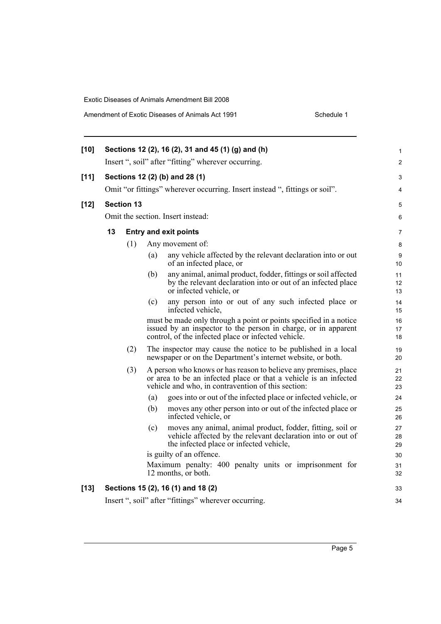| $[10]$ |                                                            |                   | Sections 12 (2), 16 (2), 31 and 45 (1) (g) and (h)                                                                                                                                         | 1              |  |  |  |  |
|--------|------------------------------------------------------------|-------------------|--------------------------------------------------------------------------------------------------------------------------------------------------------------------------------------------|----------------|--|--|--|--|
|        |                                                            |                   | Insert ", soil" after "fitting" wherever occurring.                                                                                                                                        | 2              |  |  |  |  |
| $[11]$ | Sections 12 (2) (b) and 28 (1)                             |                   |                                                                                                                                                                                            |                |  |  |  |  |
|        |                                                            |                   | Omit "or fittings" wherever occurring. Insert instead ", fittings or soil".                                                                                                                | 4              |  |  |  |  |
| $[12]$ |                                                            | <b>Section 13</b> |                                                                                                                                                                                            | 5              |  |  |  |  |
|        |                                                            |                   | Omit the section. Insert instead:                                                                                                                                                          | 6              |  |  |  |  |
|        | 13                                                         |                   | <b>Entry and exit points</b>                                                                                                                                                               | 7              |  |  |  |  |
|        |                                                            | (1)               | Any movement of:                                                                                                                                                                           | 8              |  |  |  |  |
|        |                                                            |                   | any vehicle affected by the relevant declaration into or out<br>(a)<br>of an infected place, or                                                                                            | 9<br>10        |  |  |  |  |
|        |                                                            |                   | any animal, animal product, fodder, fittings or soil affected<br>(b)<br>by the relevant declaration into or out of an infected place<br>or infected vehicle, or                            | 11<br>12<br>13 |  |  |  |  |
|        |                                                            |                   | (c)<br>any person into or out of any such infected place or<br>infected vehicle,                                                                                                           | 14<br>15       |  |  |  |  |
|        |                                                            |                   | must be made only through a point or points specified in a notice<br>issued by an inspector to the person in charge, or in apparent<br>control, of the infected place or infected vehicle. | 16<br>17<br>18 |  |  |  |  |
|        |                                                            | (2)               | The inspector may cause the notice to be published in a local<br>newspaper or on the Department's internet website, or both.                                                               | 19<br>20       |  |  |  |  |
|        |                                                            | (3)               | A person who knows or has reason to believe any premises, place<br>or area to be an infected place or that a vehicle is an infected<br>vehicle and who, in contravention of this section:  | 21<br>22<br>23 |  |  |  |  |
|        |                                                            |                   | goes into or out of the infected place or infected vehicle, or<br>(a)                                                                                                                      | 24             |  |  |  |  |
|        |                                                            |                   | (b)<br>moves any other person into or out of the infected place or<br>infected vehicle, or                                                                                                 | 25<br>26       |  |  |  |  |
|        |                                                            |                   | moves any animal, animal product, fodder, fitting, soil or<br>(c)<br>vehicle affected by the relevant declaration into or out of<br>the infected place or infected vehicle,                | 27<br>28<br>29 |  |  |  |  |
|        |                                                            |                   | is guilty of an offence.                                                                                                                                                                   | 30             |  |  |  |  |
|        |                                                            |                   | Maximum penalty: 400 penalty units or imprisonment for<br>12 months, or both.                                                                                                              | 31<br>32       |  |  |  |  |
| $[13]$ |                                                            |                   | Sections 15 (2), 16 (1) and 18 (2)                                                                                                                                                         | 33             |  |  |  |  |
|        | Insert ", soil" after "fittings" wherever occurring.<br>34 |                   |                                                                                                                                                                                            |                |  |  |  |  |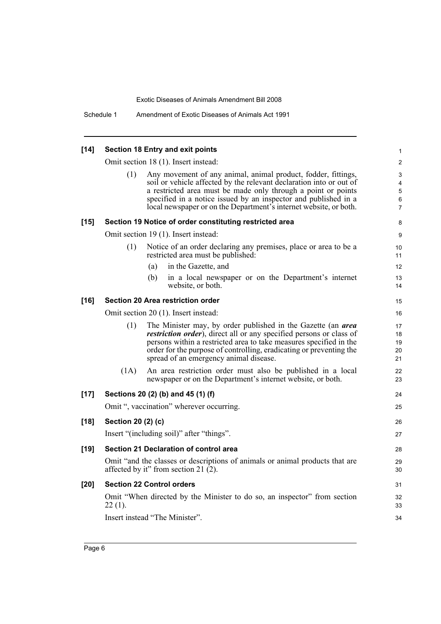| $[14]$ | <b>Section 18 Entry and exit points</b> |                                                                                                                                                                                                                                                                                                                                               |                                                          |  |  |  |
|--------|-----------------------------------------|-----------------------------------------------------------------------------------------------------------------------------------------------------------------------------------------------------------------------------------------------------------------------------------------------------------------------------------------------|----------------------------------------------------------|--|--|--|
|        |                                         | Omit section 18 (1). Insert instead:                                                                                                                                                                                                                                                                                                          | $\mathbf{2}$                                             |  |  |  |
|        | (1)                                     | Any movement of any animal, animal product, fodder, fittings,<br>soil or vehicle affected by the relevant declaration into or out of<br>a restricted area must be made only through a point or points<br>specified in a notice issued by an inspector and published in a<br>local newspaper or on the Department's internet website, or both. | 3<br>$\overline{\mathbf{4}}$<br>5<br>6<br>$\overline{7}$ |  |  |  |
| $[15]$ |                                         | Section 19 Notice of order constituting restricted area                                                                                                                                                                                                                                                                                       | 8                                                        |  |  |  |
|        |                                         | Omit section 19 (1). Insert instead:                                                                                                                                                                                                                                                                                                          | 9                                                        |  |  |  |
|        | (1)                                     | Notice of an order declaring any premises, place or area to be a<br>restricted area must be published:                                                                                                                                                                                                                                        | 10<br>11                                                 |  |  |  |
|        |                                         | in the Gazette, and<br>(a)                                                                                                                                                                                                                                                                                                                    | 12                                                       |  |  |  |
|        |                                         | (b)<br>in a local newspaper or on the Department's internet<br>website, or both.                                                                                                                                                                                                                                                              | 13<br>14                                                 |  |  |  |
| $[16]$ |                                         | <b>Section 20 Area restriction order</b>                                                                                                                                                                                                                                                                                                      | 15                                                       |  |  |  |
|        |                                         | Omit section 20 (1). Insert instead:                                                                                                                                                                                                                                                                                                          | 16                                                       |  |  |  |
|        | (1)                                     | The Minister may, by order published in the Gazette (an <i>area</i><br><i>restriction order</i> ), direct all or any specified persons or class of<br>persons within a restricted area to take measures specified in the<br>order for the purpose of controlling, eradicating or preventing the<br>spread of an emergency animal disease.     | 17<br>18<br>19<br>20<br>21                               |  |  |  |
|        | (1A)                                    | An area restriction order must also be published in a local<br>newspaper or on the Department's internet website, or both.                                                                                                                                                                                                                    | 22<br>23                                                 |  |  |  |
| $[17]$ |                                         | Sections 20 (2) (b) and 45 (1) (f)                                                                                                                                                                                                                                                                                                            | 24                                                       |  |  |  |
|        |                                         | Omit ", vaccination" wherever occurring.                                                                                                                                                                                                                                                                                                      | 25                                                       |  |  |  |
| $[18]$ | Section 20 (2) (c)                      |                                                                                                                                                                                                                                                                                                                                               | 26                                                       |  |  |  |
|        |                                         | Insert "(including soil)" after "things".                                                                                                                                                                                                                                                                                                     | 27                                                       |  |  |  |
| $[19]$ |                                         | <b>Section 21 Declaration of control area</b>                                                                                                                                                                                                                                                                                                 | 28                                                       |  |  |  |
|        |                                         | Omit "and the classes or descriptions of animals or animal products that are<br>affected by it" from section 21 (2).                                                                                                                                                                                                                          | 29<br>30                                                 |  |  |  |
| $[20]$ |                                         | <b>Section 22 Control orders</b>                                                                                                                                                                                                                                                                                                              | 31                                                       |  |  |  |
|        | $22(1)$ .                               | Omit "When directed by the Minister to do so, an inspector" from section                                                                                                                                                                                                                                                                      | 32<br>33                                                 |  |  |  |
|        |                                         | Insert instead "The Minister".                                                                                                                                                                                                                                                                                                                | 34                                                       |  |  |  |
|        |                                         |                                                                                                                                                                                                                                                                                                                                               |                                                          |  |  |  |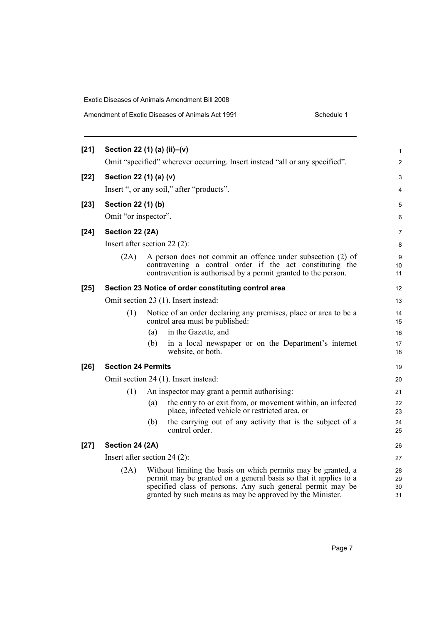## Amendment of Exotic Diseases of Animals Act 1991 Schedule 1

| $[21]$ | Section 22 (1) (a) (ii)-(v)                                                 |     |                                                                                                                                                                                                                                                              | 1                    |  |  |  |
|--------|-----------------------------------------------------------------------------|-----|--------------------------------------------------------------------------------------------------------------------------------------------------------------------------------------------------------------------------------------------------------------|----------------------|--|--|--|
|        | Omit "specified" wherever occurring. Insert instead "all or any specified". |     |                                                                                                                                                                                                                                                              |                      |  |  |  |
| $[22]$ | Section 22 (1) (a) (v)                                                      |     |                                                                                                                                                                                                                                                              |                      |  |  |  |
|        |                                                                             |     | Insert ", or any soil," after "products".                                                                                                                                                                                                                    | 4                    |  |  |  |
| $[23]$ | Section 22 (1) (b)                                                          |     |                                                                                                                                                                                                                                                              | 5                    |  |  |  |
|        | Omit "or inspector".                                                        |     |                                                                                                                                                                                                                                                              | 6                    |  |  |  |
| $[24]$ | Section 22 (2A)                                                             |     |                                                                                                                                                                                                                                                              | $\overline{7}$       |  |  |  |
|        | Insert after section 22 $(2)$ :                                             |     |                                                                                                                                                                                                                                                              | 8                    |  |  |  |
|        | (2A)                                                                        |     | A person does not commit an offence under subsection (2) of<br>contravening a control order if the act constituting the<br>contravention is authorised by a permit granted to the person.                                                                    | 9<br>10<br>11        |  |  |  |
| $[25]$ |                                                                             |     | Section 23 Notice of order constituting control area                                                                                                                                                                                                         | 12                   |  |  |  |
|        |                                                                             |     | Omit section 23 (1). Insert instead:                                                                                                                                                                                                                         | 13                   |  |  |  |
|        | (1)                                                                         |     | Notice of an order declaring any premises, place or area to be a<br>control area must be published:                                                                                                                                                          | 14<br>15             |  |  |  |
|        |                                                                             | (a) | in the Gazette, and                                                                                                                                                                                                                                          | 16                   |  |  |  |
|        |                                                                             | (b) | in a local newspaper or on the Department's internet<br>website, or both.                                                                                                                                                                                    | 17<br>18             |  |  |  |
| $[26]$ | <b>Section 24 Permits</b>                                                   |     |                                                                                                                                                                                                                                                              | 19                   |  |  |  |
|        |                                                                             |     | Omit section 24 (1). Insert instead:                                                                                                                                                                                                                         | 20                   |  |  |  |
|        | (1)                                                                         |     | An inspector may grant a permit authorising:                                                                                                                                                                                                                 | 21                   |  |  |  |
|        |                                                                             | (a) | the entry to or exit from, or movement within, an infected<br>place, infected vehicle or restricted area, or                                                                                                                                                 | 22<br>23             |  |  |  |
|        |                                                                             | (b) | the carrying out of any activity that is the subject of a<br>control order.                                                                                                                                                                                  | 24<br>25             |  |  |  |
| $[27]$ | Section 24 (2A)                                                             |     |                                                                                                                                                                                                                                                              | 26                   |  |  |  |
|        | Insert after section $24(2)$ :                                              |     |                                                                                                                                                                                                                                                              | 27                   |  |  |  |
|        | (2A)                                                                        |     | Without limiting the basis on which permits may be granted, a<br>permit may be granted on a general basis so that it applies to a<br>specified class of persons. Any such general permit may be<br>granted by such means as may be approved by the Minister. | 28<br>29<br>30<br>31 |  |  |  |
|        |                                                                             |     |                                                                                                                                                                                                                                                              |                      |  |  |  |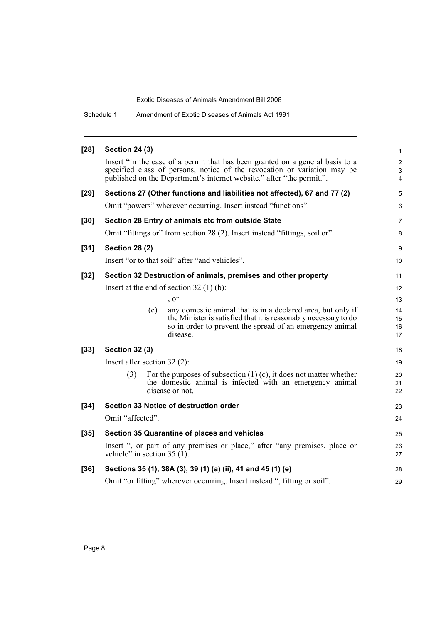Schedule 1 Amendment of Exotic Diseases of Animals Act 1991

| $[28]$ | <b>Section 24 (3)</b>          |                                                                                                                                                                                                                                    | $\mathbf{1}$                                       |
|--------|--------------------------------|------------------------------------------------------------------------------------------------------------------------------------------------------------------------------------------------------------------------------------|----------------------------------------------------|
|        |                                | Insert "In the case of a permit that has been granted on a general basis to a<br>specified class of persons, notice of the revocation or variation may be<br>published on the Department's internet website." after "the permit.". | $\overline{2}$<br>$\mathfrak{S}$<br>$\overline{4}$ |
| $[29]$ |                                | Sections 27 (Other functions and liabilities not affected), 67 and 77 (2)                                                                                                                                                          | 5                                                  |
|        |                                | Omit "powers" wherever occurring. Insert instead "functions".                                                                                                                                                                      | 6                                                  |
| $[30]$ |                                | Section 28 Entry of animals etc from outside State                                                                                                                                                                                 | $\overline{7}$                                     |
|        |                                | Omit "fittings or" from section 28 (2). Insert instead "fittings, soil or".                                                                                                                                                        | 8                                                  |
| $[31]$ | <b>Section 28 (2)</b>          |                                                                                                                                                                                                                                    | 9                                                  |
|        |                                | Insert "or to that soil" after "and vehicles".                                                                                                                                                                                     | 10                                                 |
| $[32]$ |                                | Section 32 Destruction of animals, premises and other property                                                                                                                                                                     | 11                                                 |
|        |                                | Insert at the end of section $32(1)(b)$ :                                                                                                                                                                                          | 12                                                 |
|        |                                | , or                                                                                                                                                                                                                               | 13                                                 |
|        | (c)                            | any domestic animal that is in a declared area, but only if                                                                                                                                                                        | 14                                                 |
|        |                                | the Minister is satisfied that it is reasonably necessary to do<br>so in order to prevent the spread of an emergency animal                                                                                                        | 15<br>16                                           |
|        |                                | disease.                                                                                                                                                                                                                           | 17                                                 |
| $[33]$ | <b>Section 32 (3)</b>          |                                                                                                                                                                                                                                    | 18                                                 |
|        | Insert after section $32(2)$ : |                                                                                                                                                                                                                                    | 19                                                 |
|        | (3)                            | For the purposes of subsection $(1)$ (c), it does not matter whether                                                                                                                                                               | 20                                                 |
|        |                                | the domestic animal is infected with an emergency animal<br>disease or not.                                                                                                                                                        | 21<br>22                                           |
| $[34]$ |                                | Section 33 Notice of destruction order                                                                                                                                                                                             | 23                                                 |
|        | Omit "affected".               |                                                                                                                                                                                                                                    | 24                                                 |
|        |                                |                                                                                                                                                                                                                                    |                                                    |
| $[35]$ |                                | Section 35 Quarantine of places and vehicles                                                                                                                                                                                       | 25                                                 |
|        | vehicle" in section $35(1)$ .  | Insert ", or part of any premises or place," after "any premises, place or                                                                                                                                                         | 26<br>27                                           |
| $[36]$ |                                | Sections 35 (1), 38A (3), 39 (1) (a) (ii), 41 and 45 (1) (e)                                                                                                                                                                       | 28                                                 |
|        |                                | Omit "or fitting" wherever occurring. Insert instead ", fitting or soil".                                                                                                                                                          | 29                                                 |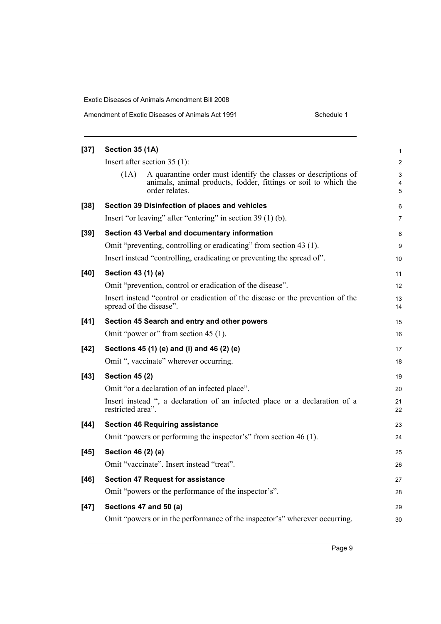| $[37]$ | Section 35 (1A)         |                                                                                                                                                      | 1           |
|--------|-------------------------|------------------------------------------------------------------------------------------------------------------------------------------------------|-------------|
|        |                         | Insert after section $35(1)$ :                                                                                                                       | 2           |
|        | (1A)                    | A quarantine order must identify the classes or descriptions of<br>animals, animal products, fodder, fittings or soil to which the<br>order relates. | 3<br>4<br>5 |
| $[38]$ |                         | Section 39 Disinfection of places and vehicles                                                                                                       | 6           |
|        |                         | Insert "or leaving" after "entering" in section 39 (1) (b).                                                                                          | 7           |
| $[39]$ |                         | Section 43 Verbal and documentary information                                                                                                        | 8           |
|        |                         | Omit "preventing, controlling or eradicating" from section 43 (1).                                                                                   | 9           |
|        |                         | Insert instead "controlling, eradicating or preventing the spread of".                                                                               | 10          |
| [40]   | Section 43 (1) (a)      |                                                                                                                                                      | 11          |
|        |                         | Omit "prevention, control or eradication of the disease".                                                                                            | 12          |
|        | spread of the disease". | Insert instead "control or eradication of the disease or the prevention of the                                                                       | 13<br>14    |
| $[41]$ |                         | Section 45 Search and entry and other powers                                                                                                         | 15          |
|        |                         | Omit "power or" from section 45 (1).                                                                                                                 | 16          |
| [42]   |                         | Sections 45 (1) (e) and (i) and 46 (2) (e)                                                                                                           | 17          |
|        |                         | Omit ", vaccinate" wherever occurring.                                                                                                               | 18          |
| $[43]$ | <b>Section 45 (2)</b>   |                                                                                                                                                      | 19          |
|        |                         | Omit "or a declaration of an infected place".                                                                                                        | 20          |
|        | restricted area".       | Insert instead ", a declaration of an infected place or a declaration of a                                                                           | 21<br>22    |
| $[44]$ |                         | <b>Section 46 Requiring assistance</b>                                                                                                               | 23          |
|        |                         | Omit "powers or performing the inspector's" from section 46 (1).                                                                                     | 24          |
| $[45]$ | Section 46 (2) (a)      |                                                                                                                                                      | 25          |
|        |                         | Omit "vaccinate". Insert instead "treat".                                                                                                            | 26          |
| $[46]$ |                         | <b>Section 47 Request for assistance</b>                                                                                                             | 27          |
|        |                         | Omit "powers or the performance of the inspector's".                                                                                                 | 28          |
| $[47]$ |                         | Sections 47 and 50 (a)                                                                                                                               | 29          |
|        |                         | Omit "powers or in the performance of the inspector's" wherever occurring.                                                                           | 30          |

Page 9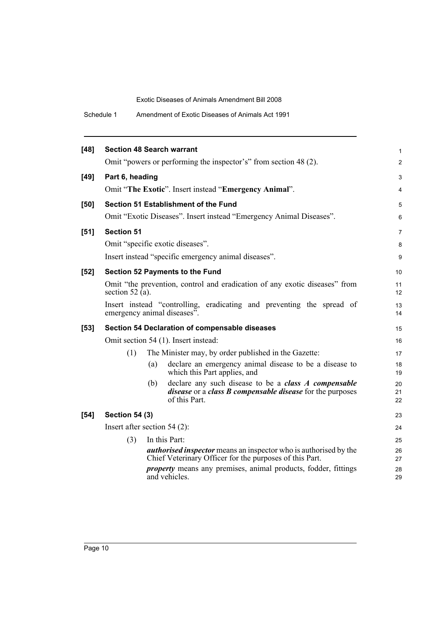Schedule 1 Amendment of Exotic Diseases of Animals Act 1991

| [48]   | <b>Section 48 Search warrant</b> |     |                                                                                                                                                         | $\mathbf{1}$   |
|--------|----------------------------------|-----|---------------------------------------------------------------------------------------------------------------------------------------------------------|----------------|
|        |                                  |     | Omit "powers or performing the inspector's" from section 48 (2).                                                                                        | $\overline{2}$ |
| $[49]$ | Part 6, heading                  |     |                                                                                                                                                         | 3              |
|        |                                  |     | Omit "The Exotic". Insert instead "Emergency Animal".                                                                                                   | 4              |
| [50]   |                                  |     | Section 51 Establishment of the Fund                                                                                                                    | 5              |
|        |                                  |     | Omit "Exotic Diseases". Insert instead "Emergency Animal Diseases".                                                                                     | 6              |
| $[51]$ | <b>Section 51</b>                |     |                                                                                                                                                         | $\overline{7}$ |
|        |                                  |     | Omit "specific exotic diseases".                                                                                                                        | 8              |
|        |                                  |     | Insert instead "specific emergency animal diseases".                                                                                                    | 9              |
| $[52]$ |                                  |     | Section 52 Payments to the Fund                                                                                                                         | 10             |
|        | section 52 (a).                  |     | Omit "the prevention, control and eradication of any exotic diseases" from                                                                              | 11<br>12       |
|        |                                  |     | Insert instead "controlling, eradicating and preventing the spread of<br>emergency animal diseases".                                                    | 13<br>14       |
| $[53]$ |                                  |     | Section 54 Declaration of compensable diseases                                                                                                          | 15             |
|        |                                  |     | Omit section 54 (1). Insert instead:                                                                                                                    | 16             |
|        | (1)                              |     | The Minister may, by order published in the Gazette:                                                                                                    | 17             |
|        |                                  | (a) | declare an emergency animal disease to be a disease to<br>which this Part applies, and                                                                  | 18<br>19       |
|        |                                  | (b) | declare any such disease to be a <i>class A compensable</i><br><i>disease</i> or a <i>class B compensable disease</i> for the purposes<br>of this Part. | 20<br>21<br>22 |
| $[54]$ | <b>Section 54 (3)</b>            |     |                                                                                                                                                         | 23             |
|        | Insert after section $54(2)$ :   |     |                                                                                                                                                         | 24             |
|        | (3)                              |     | In this Part:                                                                                                                                           | 25             |
|        |                                  |     | <i>authorised inspector</i> means an inspector who is authorised by the<br>Chief Veterinary Officer for the purposes of this Part.                      | 26<br>27       |
|        |                                  |     | <i>property</i> means any premises, animal products, fodder, fittings<br>and vehicles.                                                                  | 28<br>29       |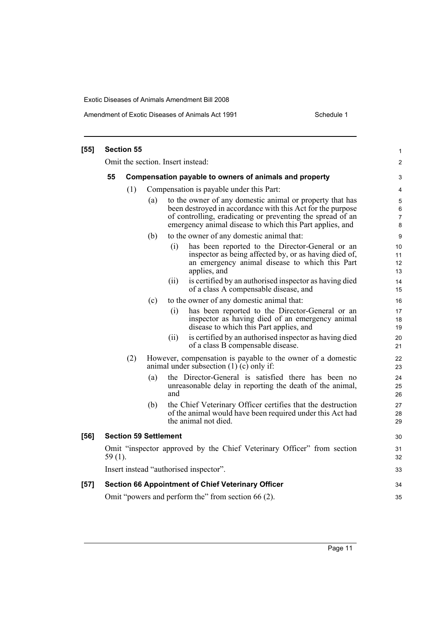Amendment of Exotic Diseases of Animals Act 1991 Schedule 1

| $[55]$ | <b>Section 55</b>                                                                   |                                                        |                              |      |                                                                                                                                                                                                                                                  | 1                             |  |                                                                                                                                                  |
|--------|-------------------------------------------------------------------------------------|--------------------------------------------------------|------------------------------|------|--------------------------------------------------------------------------------------------------------------------------------------------------------------------------------------------------------------------------------------------------|-------------------------------|--|--------------------------------------------------------------------------------------------------------------------------------------------------|
|        |                                                                                     |                                                        |                              |      | Omit the section. Insert instead:                                                                                                                                                                                                                | $\overline{c}$                |  |                                                                                                                                                  |
|        | 55                                                                                  | Compensation payable to owners of animals and property |                              |      |                                                                                                                                                                                                                                                  |                               |  |                                                                                                                                                  |
|        |                                                                                     | (1)                                                    |                              |      | Compensation is payable under this Part:                                                                                                                                                                                                         | 4                             |  |                                                                                                                                                  |
|        |                                                                                     |                                                        | (a)                          |      | to the owner of any domestic animal or property that has<br>been destroyed in accordance with this Act for the purpose<br>of controlling, eradicating or preventing the spread of an<br>emergency animal disease to which this Part applies, and | 5<br>6<br>$\overline{7}$<br>8 |  |                                                                                                                                                  |
|        |                                                                                     |                                                        | (b)                          |      | to the owner of any domestic animal that:                                                                                                                                                                                                        | 9                             |  |                                                                                                                                                  |
|        |                                                                                     |                                                        |                              | (i)  | has been reported to the Director-General or an<br>inspector as being affected by, or as having died of,<br>an emergency animal disease to which this Part<br>applies, and                                                                       | 10<br>11<br>12<br>13          |  |                                                                                                                                                  |
|        |                                                                                     |                                                        |                              | (ii) | is certified by an authorised inspector as having died<br>of a class A compensable disease, and                                                                                                                                                  | 14<br>15                      |  |                                                                                                                                                  |
|        |                                                                                     |                                                        | (c)                          |      | to the owner of any domestic animal that:                                                                                                                                                                                                        | 16                            |  |                                                                                                                                                  |
|        |                                                                                     |                                                        |                              | (i)  | has been reported to the Director-General or an<br>inspector as having died of an emergency animal<br>disease to which this Part applies, and                                                                                                    | 17<br>18<br>19                |  |                                                                                                                                                  |
|        |                                                                                     |                                                        |                              | (ii) | is certified by an authorised inspector as having died<br>of a class B compensable disease.                                                                                                                                                      | 20<br>21                      |  |                                                                                                                                                  |
|        |                                                                                     | (2)                                                    |                              |      | However, compensation is payable to the owner of a domestic<br>animal under subsection $(1)$ (c) only if:                                                                                                                                        | 22<br>23                      |  |                                                                                                                                                  |
|        |                                                                                     |                                                        | (a)                          | and  | the Director-General is satisfied there has been no<br>unreasonable delay in reporting the death of the animal,                                                                                                                                  | 24<br>25<br>26                |  |                                                                                                                                                  |
|        |                                                                                     |                                                        |                              |      |                                                                                                                                                                                                                                                  | (b)                           |  | the Chief Veterinary Officer certifies that the destruction<br>of the animal would have been required under this Act had<br>the animal not died. |
| [56]   |                                                                                     |                                                        | <b>Section 59 Settlement</b> |      |                                                                                                                                                                                                                                                  | 30                            |  |                                                                                                                                                  |
|        | Omit "inspector approved by the Chief Veterinary Officer" from section<br>$59(1)$ . |                                                        |                              |      |                                                                                                                                                                                                                                                  | 31<br>32                      |  |                                                                                                                                                  |
|        |                                                                                     |                                                        |                              |      | Insert instead "authorised inspector".                                                                                                                                                                                                           | 33                            |  |                                                                                                                                                  |
| $[57]$ |                                                                                     |                                                        |                              |      | <b>Section 66 Appointment of Chief Veterinary Officer</b>                                                                                                                                                                                        | 34                            |  |                                                                                                                                                  |
|        |                                                                                     |                                                        |                              |      | Omit "powers and perform the" from section 66 (2).                                                                                                                                                                                               | 35                            |  |                                                                                                                                                  |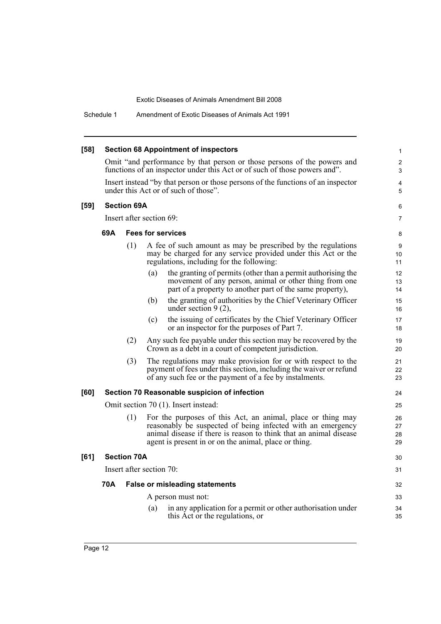Schedule 1 Amendment of Exotic Diseases of Animals Act 1991

| $[58]$ | <b>Section 68 Appointment of inspectors</b>                                                                                                          |                    |     |                                                                                                                                                                                                                                                          |                      |
|--------|------------------------------------------------------------------------------------------------------------------------------------------------------|--------------------|-----|----------------------------------------------------------------------------------------------------------------------------------------------------------------------------------------------------------------------------------------------------------|----------------------|
|        | Omit "and performance by that person or those persons of the powers and<br>functions of an inspector under this Act or of such of those powers and". |                    |     |                                                                                                                                                                                                                                                          |                      |
|        | Insert instead "by that person or those persons of the functions of an inspector<br>under this Act or of such of those".                             |                    |     |                                                                                                                                                                                                                                                          |                      |
| $[59]$ |                                                                                                                                                      | <b>Section 69A</b> |     |                                                                                                                                                                                                                                                          | 6                    |
|        | Insert after section 69:                                                                                                                             |                    |     |                                                                                                                                                                                                                                                          |                      |
|        | 69A<br><b>Fees for services</b>                                                                                                                      |                    |     |                                                                                                                                                                                                                                                          | 8                    |
|        |                                                                                                                                                      | (1)                |     | A fee of such amount as may be prescribed by the regulations<br>may be charged for any service provided under this Act or the<br>regulations, including for the following:                                                                               | 9<br>10<br>11        |
|        |                                                                                                                                                      |                    | (a) | the granting of permits (other than a permit authorising the<br>movement of any person, animal or other thing from one<br>part of a property to another part of the same property),                                                                      | 12<br>13<br>14       |
|        |                                                                                                                                                      |                    | (b) | the granting of authorities by the Chief Veterinary Officer<br>under section $9(2)$ ,                                                                                                                                                                    | 15<br>16             |
|        |                                                                                                                                                      |                    | (c) | the issuing of certificates by the Chief Veterinary Officer<br>or an inspector for the purposes of Part 7.                                                                                                                                               | 17<br>18             |
|        |                                                                                                                                                      | (2)                |     | Any such fee payable under this section may be recovered by the<br>Crown as a debt in a court of competent jurisdiction.                                                                                                                                 | 19<br>20             |
|        |                                                                                                                                                      | (3)                |     | The regulations may make provision for or with respect to the<br>payment of fees under this section, including the waiver or refund<br>of any such fee or the payment of a fee by instalments.                                                           | 21<br>22<br>23       |
| [60]   |                                                                                                                                                      |                    |     | Section 70 Reasonable suspicion of infection                                                                                                                                                                                                             | 24                   |
|        | Omit section 70 (1). Insert instead:                                                                                                                 |                    |     |                                                                                                                                                                                                                                                          |                      |
|        |                                                                                                                                                      | (1)                |     | For the purposes of this Act, an animal, place or thing may<br>reasonably be suspected of being infected with an emergency<br>animal disease if there is reason to think that an animal disease<br>agent is present in or on the animal, place or thing. | 26<br>27<br>28<br>29 |
| [61]   |                                                                                                                                                      | <b>Section 70A</b> |     |                                                                                                                                                                                                                                                          | 30                   |
|        | Insert after section 70:                                                                                                                             |                    |     |                                                                                                                                                                                                                                                          |                      |
|        | 70A                                                                                                                                                  |                    |     | <b>False or misleading statements</b>                                                                                                                                                                                                                    | 32                   |
|        |                                                                                                                                                      |                    |     | A person must not:                                                                                                                                                                                                                                       | 33                   |
|        |                                                                                                                                                      |                    | (a) | in any application for a permit or other authorisation under<br>this Act or the regulations, or                                                                                                                                                          | 34<br>35             |
|        |                                                                                                                                                      |                    |     |                                                                                                                                                                                                                                                          |                      |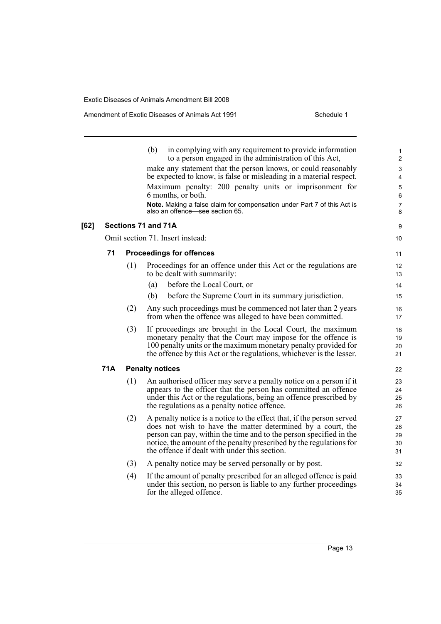|      |            |                                  | in complying with any requirement to provide information<br>(b)<br>to a person engaged in the administration of this Act,<br>make any statement that the person knows, or could reasonably<br>be expected to know, is false or misleading in a material respect.                                                                   | 1<br>$\overline{c}$<br>3<br>4 |  |  |
|------|------------|----------------------------------|------------------------------------------------------------------------------------------------------------------------------------------------------------------------------------------------------------------------------------------------------------------------------------------------------------------------------------|-------------------------------|--|--|
|      |            |                                  | Maximum penalty: 200 penalty units or imprisonment for<br>6 months, or both.                                                                                                                                                                                                                                                       | 5<br>6                        |  |  |
|      |            |                                  | Note. Making a false claim for compensation under Part 7 of this Act is<br>also an offence—see section 65.                                                                                                                                                                                                                         | 7<br>8                        |  |  |
| [62] |            |                                  | Sections 71 and 71A                                                                                                                                                                                                                                                                                                                | 9                             |  |  |
|      |            | Omit section 71. Insert instead: |                                                                                                                                                                                                                                                                                                                                    |                               |  |  |
|      | 71         |                                  | <b>Proceedings for offences</b>                                                                                                                                                                                                                                                                                                    | 11                            |  |  |
|      |            | (1)                              | Proceedings for an offence under this Act or the regulations are<br>to be dealt with summarily:                                                                                                                                                                                                                                    | 12<br>13                      |  |  |
|      |            |                                  | before the Local Court, or<br>(a)                                                                                                                                                                                                                                                                                                  | 14                            |  |  |
|      |            |                                  | before the Supreme Court in its summary jurisdiction.<br>(b)                                                                                                                                                                                                                                                                       | 15                            |  |  |
|      |            | (2)                              | Any such proceedings must be commenced not later than 2 years<br>from when the offence was alleged to have been committed.                                                                                                                                                                                                         | 16<br>17                      |  |  |
|      |            | (3)                              | If proceedings are brought in the Local Court, the maximum<br>monetary penalty that the Court may impose for the offence is<br>100 penalty units or the maximum monetary penalty provided for<br>the offence by this Act or the regulations, whichever is the lesser.                                                              | 18<br>19<br>20<br>21          |  |  |
|      | <b>71A</b> |                                  | <b>Penalty notices</b>                                                                                                                                                                                                                                                                                                             | 22                            |  |  |
|      |            | (1)                              | An authorised officer may serve a penalty notice on a person if it<br>appears to the officer that the person has committed an offence<br>under this Act or the regulations, being an offence prescribed by<br>the regulations as a penalty notice offence.                                                                         | 23<br>24<br>25<br>26          |  |  |
|      |            | (2)                              | A penalty notice is a notice to the effect that, if the person served<br>does not wish to have the matter determined by a court, the<br>person can pay, within the time and to the person specified in the<br>notice, the amount of the penalty prescribed by the regulations for<br>the offence if dealt with under this section. | 27<br>28<br>29<br>30<br>31    |  |  |
|      |            | (3)                              | A penalty notice may be served personally or by post.                                                                                                                                                                                                                                                                              | 32                            |  |  |
|      |            | (4)                              | If the amount of penalty prescribed for an alleged offence is paid<br>under this section, no person is liable to any further proceedings<br>for the alleged offence.                                                                                                                                                               | 33<br>34<br>35                |  |  |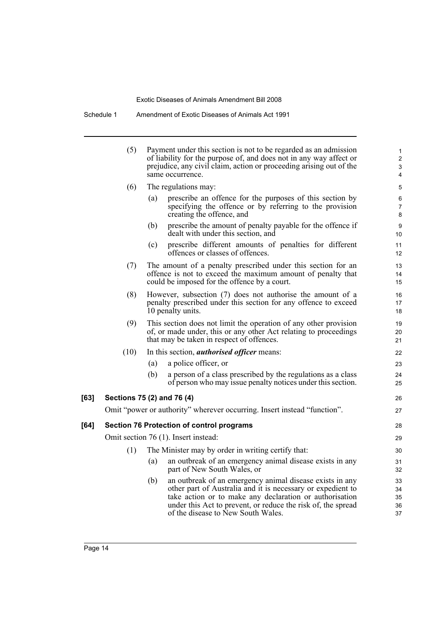Schedule 1 Amendment of Exotic Diseases of Animals Act 1991

|      | (5)                                  |     | Payment under this section is not to be regarded as an admission<br>of liability for the purpose of, and does not in any way affect or<br>prejudice, any civil claim, action or proceeding arising out of the<br>same occurrence.                                                        | $\mathbf{1}$<br>$\overline{c}$<br>3<br>4 |  |
|------|--------------------------------------|-----|------------------------------------------------------------------------------------------------------------------------------------------------------------------------------------------------------------------------------------------------------------------------------------------|------------------------------------------|--|
|      | (6)                                  |     | The regulations may:                                                                                                                                                                                                                                                                     | 5                                        |  |
|      |                                      | (a) | prescribe an offence for the purposes of this section by<br>specifying the offence or by referring to the provision<br>creating the offence, and                                                                                                                                         | 6<br>7<br>8                              |  |
|      |                                      | (b) | prescribe the amount of penalty payable for the offence if<br>dealt with under this section, and                                                                                                                                                                                         | $\boldsymbol{9}$<br>10                   |  |
|      |                                      | (c) | prescribe different amounts of penalties for different<br>offences or classes of offences.                                                                                                                                                                                               | 11<br>12                                 |  |
|      | (7)                                  |     | The amount of a penalty prescribed under this section for an<br>offence is not to exceed the maximum amount of penalty that<br>could be imposed for the offence by a court.                                                                                                              | 13<br>14<br>15                           |  |
|      | (8)                                  |     | However, subsection (7) does not authorise the amount of a<br>penalty prescribed under this section for any offence to exceed<br>10 penalty units.                                                                                                                                       | 16<br>17<br>18                           |  |
|      | (9)                                  |     | This section does not limit the operation of any other provision<br>of, or made under, this or any other Act relating to proceedings<br>that may be taken in respect of offences.                                                                                                        | 19<br>20<br>21                           |  |
|      | (10)                                 |     | In this section, <i>authorised officer</i> means:                                                                                                                                                                                                                                        | 22                                       |  |
|      |                                      | (a) | a police officer, or                                                                                                                                                                                                                                                                     | 23                                       |  |
|      |                                      | (b) | a person of a class prescribed by the regulations as a class<br>of person who may issue penalty notices under this section.                                                                                                                                                              | 24<br>25                                 |  |
| [63] | Sections 75 (2) and 76 (4)           |     |                                                                                                                                                                                                                                                                                          | 26                                       |  |
|      |                                      |     | Omit "power or authority" wherever occurring. Insert instead "function".                                                                                                                                                                                                                 | 27                                       |  |
| [64] |                                      |     | <b>Section 76 Protection of control programs</b>                                                                                                                                                                                                                                         | 28                                       |  |
|      | Omit section 76 (1). Insert instead: |     |                                                                                                                                                                                                                                                                                          |                                          |  |
|      | (1)                                  |     | The Minister may by order in writing certify that:                                                                                                                                                                                                                                       | 30                                       |  |
|      |                                      | (a) | an outbreak of an emergency animal disease exists in any<br>part of New South Wales, or                                                                                                                                                                                                  | 31<br>32                                 |  |
|      |                                      | (b) | an outbreak of an emergency animal disease exists in any<br>other part of Australia and it is necessary or expedient to<br>take action or to make any declaration or authorisation<br>under this Act to prevent, or reduce the risk of, the spread<br>of the disease to New South Wales. | 33<br>34<br>35<br>36<br>37               |  |

 $[63]$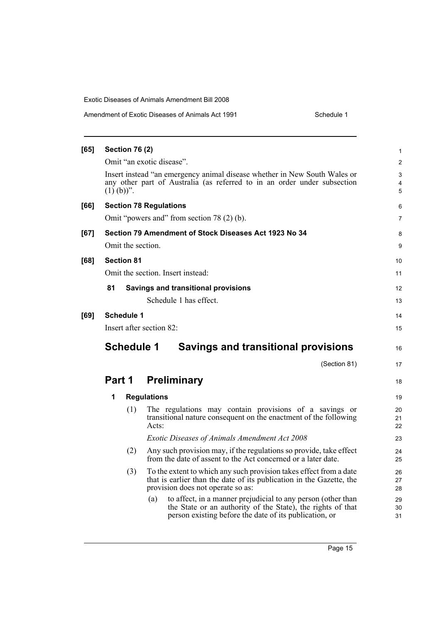| Amendment of Exotic Diseases of Animals Act 1991 | Schedule 1 |
|--------------------------------------------------|------------|
|--------------------------------------------------|------------|

| [65] | <b>Section 76 (2)</b>             |                                                                                                                                                                                              | 1              |  |  |  |  |
|------|-----------------------------------|----------------------------------------------------------------------------------------------------------------------------------------------------------------------------------------------|----------------|--|--|--|--|
|      | Omit "an exotic disease".         |                                                                                                                                                                                              |                |  |  |  |  |
|      | $(1)$ (b))".                      | Insert instead "an emergency animal disease whether in New South Wales or<br>any other part of Australia (as referred to in an order under subsection                                        | 3<br>4<br>5    |  |  |  |  |
| [66] |                                   | <b>Section 78 Regulations</b>                                                                                                                                                                | 6              |  |  |  |  |
|      |                                   | Omit "powers and" from section 78 (2) (b).                                                                                                                                                   | $\overline{7}$ |  |  |  |  |
| [67] |                                   | Section 79 Amendment of Stock Diseases Act 1923 No 34                                                                                                                                        | 8              |  |  |  |  |
|      | Omit the section.                 |                                                                                                                                                                                              | 9              |  |  |  |  |
| [68] | <b>Section 81</b>                 |                                                                                                                                                                                              | 10             |  |  |  |  |
|      | Omit the section. Insert instead: |                                                                                                                                                                                              |                |  |  |  |  |
|      | 81                                | <b>Savings and transitional provisions</b>                                                                                                                                                   | 12             |  |  |  |  |
|      |                                   | Schedule 1 has effect.                                                                                                                                                                       | 13             |  |  |  |  |
| [69] | <b>Schedule 1</b>                 |                                                                                                                                                                                              | 14             |  |  |  |  |
|      | Insert after section 82:          |                                                                                                                                                                                              |                |  |  |  |  |
|      | <b>Schedule 1</b>                 | <b>Savings and transitional provisions</b>                                                                                                                                                   | 16             |  |  |  |  |
|      |                                   | (Section 81)                                                                                                                                                                                 | 17             |  |  |  |  |
|      | Part 1                            | <b>Preliminary</b>                                                                                                                                                                           | 18             |  |  |  |  |
|      | 1                                 | <b>Regulations</b>                                                                                                                                                                           | 19             |  |  |  |  |
|      | (1)                               | The regulations may contain provisions of a savings or<br>transitional nature consequent on the enactment of the following<br>Acts:                                                          | 20<br>21<br>22 |  |  |  |  |
|      |                                   | Exotic Diseases of Animals Amendment Act 2008                                                                                                                                                | 23             |  |  |  |  |
|      | (2)                               | Any such provision may, if the regulations so provide, take effect<br>from the date of assent to the Act concerned or a later date.                                                          | 24<br>25       |  |  |  |  |
|      | (3)                               | To the extent to which any such provision takes effect from a date<br>that is earlier than the date of its publication in the Gazette, the<br>provision does not operate so as:              | 26<br>27<br>28 |  |  |  |  |
|      |                                   | to affect, in a manner prejudicial to any person (other than<br>(a)<br>the State or an authority of the State), the rights of that<br>person existing before the date of its publication, or | 29<br>30<br>31 |  |  |  |  |
|      |                                   |                                                                                                                                                                                              |                |  |  |  |  |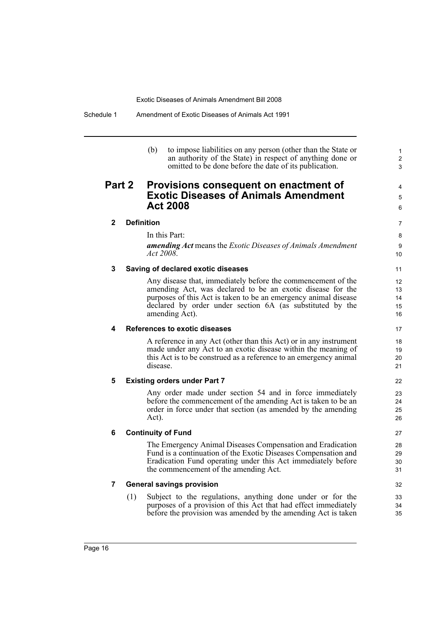(b) to impose liabilities on any person (other than the State or an authority of the State) in respect of anything done or omitted to be done before the date of its publication.

1 2 3

4 5 6

## **Part 2 Provisions consequent on enactment of Exotic Diseases of Animals Amendment Act 2008**

### **2 Definition**

In this Part:

*amending Act* means the *Exotic Diseases of Animals Amendment Act 2008*.

#### **3 Saving of declared exotic diseases**

Any disease that, immediately before the commencement of the amending Act, was declared to be an exotic disease for the purposes of this Act is taken to be an emergency animal disease declared by order under section 6A (as substituted by the amending Act).

### **4 References to exotic diseases**

A reference in any Act (other than this Act) or in any instrument made under any Act to an exotic disease within the meaning of this Act is to be construed as a reference to an emergency animal disease.

### **5 Existing orders under Part 7**

Any order made under section 54 and in force immediately before the commencement of the amending Act is taken to be an order in force under that section (as amended by the amending Act).

### **6 Continuity of Fund**

The Emergency Animal Diseases Compensation and Eradication Fund is a continuation of the Exotic Diseases Compensation and Eradication Fund operating under this Act immediately before the commencement of the amending Act.

## **7 General savings provision**

(1) Subject to the regulations, anything done under or for the purposes of a provision of this Act that had effect immediately before the provision was amended by the amending Act is taken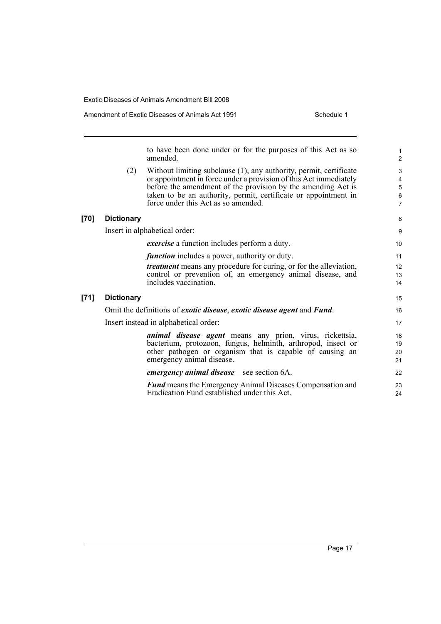to have been done under or for the purposes of this Act as so amended. (2) Without limiting subclause (1), any authority, permit, certificate or appointment in force under a provision of this Act immediately before the amendment of the provision by the amending Act is taken to be an authority, permit, certificate or appointment in force under this Act as so amended. **[70] Dictionary** Insert in alphabetical order: *exercise* a function includes perform a duty. *function* includes a power, authority or duty. *treatment* means any procedure for curing, or for the alleviation, control or prevention of, an emergency animal disease, and includes vaccination. **[71] Dictionary** Omit the definitions of *exotic disease*, *exotic disease agent* and *Fund*. Insert instead in alphabetical order: *animal disease agent* means any prion, virus, rickettsia, bacterium, protozoon, fungus, helminth, arthropod, insect or other pathogen or organism that is capable of causing an emergency animal disease. *emergency animal disease*—see section 6A. 1 2 3 4 5 6 7 8 9 10 11 12 13 14 15 16 17 18 19 20 21 22 23

*Fund* means the Emergency Animal Diseases Compensation and Eradication Fund established under this Act.

24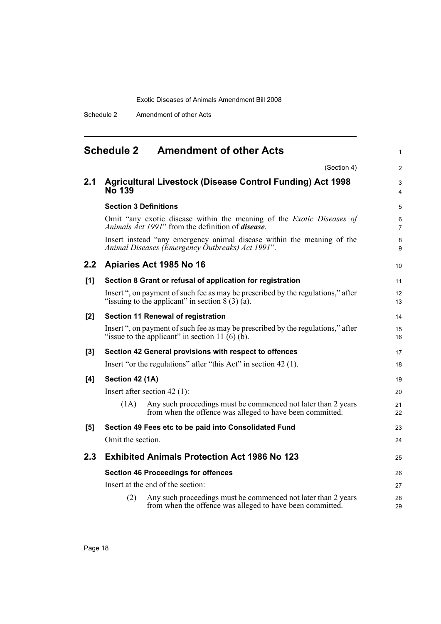Schedule 2 Amendment of other Acts

<span id="page-25-0"></span>

|       | <b>Amendment of other Acts</b><br><b>Schedule 2</b>                                                                                       |          |
|-------|-------------------------------------------------------------------------------------------------------------------------------------------|----------|
|       | (Section 4)                                                                                                                               |          |
| 2.1   | <b>Agricultural Livestock (Disease Control Funding) Act 1998</b><br><b>No 139</b>                                                         |          |
|       | <b>Section 3 Definitions</b>                                                                                                              |          |
|       | Omit "any exotic disease within the meaning of the <i>Exotic Diseases of</i><br>Animals Act 1991" from the definition of <b>disease</b> . |          |
|       | Insert instead "any emergency animal disease within the meaning of the<br>Animal Diseases (Emergency Outbreaks) Act 1991".                |          |
| 2.2   | Apiaries Act 1985 No 16                                                                                                                   | 10       |
| [1]   | Section 8 Grant or refusal of application for registration                                                                                | 11       |
|       | Insert ", on payment of such fee as may be prescribed by the regulations," after<br>"issuing to the applicant" in section $8(3)(a)$ .     | 12<br>13 |
| $[2]$ | Section 11 Renewal of registration                                                                                                        | 14       |
|       | Insert ", on payment of such fee as may be prescribed by the regulations," after<br>"issue to the applicant" in section 11 $(6)$ $(b)$ .  | 15<br>16 |
| [3]   | Section 42 General provisions with respect to offences                                                                                    | 17       |
|       | Insert "or the regulations" after "this Act" in section 42 (1).                                                                           | 18       |
| [4]   | Section 42 (1A)                                                                                                                           | 19       |
|       | Insert after section $42$ (1):                                                                                                            | 20       |
|       | Any such proceedings must be commenced not later than 2 years<br>(1A)<br>from when the offence was alleged to have been committed.        | 21<br>22 |
| [5]   | Section 49 Fees etc to be paid into Consolidated Fund                                                                                     | 23       |
|       | Omit the section.                                                                                                                         | 24       |
| 2.3   | <b>Exhibited Animals Protection Act 1986 No 123</b>                                                                                       | 25       |
|       | <b>Section 46 Proceedings for offences</b>                                                                                                | 26       |
|       | Insert at the end of the section:                                                                                                         | 27       |
|       | Any such proceedings must be commenced not later than 2 years<br>(2)<br>from when the offence was alleged to have been committed.         | 28<br>29 |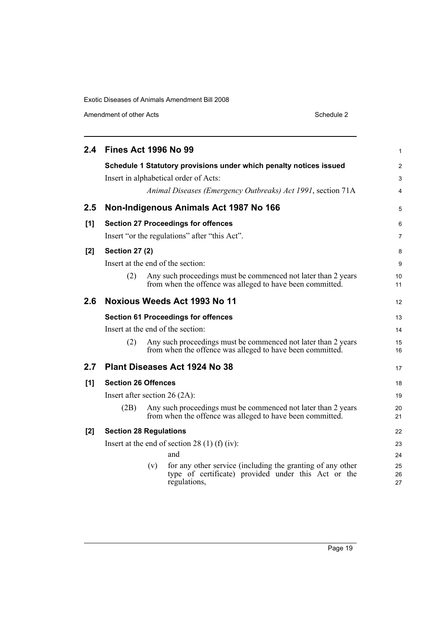Amendment of other Acts Schedule 2

| 2.4   | <b>Fines Act 1996 No 99</b>                   |     |                                                                                                                                   | 1              |  |
|-------|-----------------------------------------------|-----|-----------------------------------------------------------------------------------------------------------------------------------|----------------|--|
|       |                                               |     | Schedule 1 Statutory provisions under which penalty notices issued                                                                | 2              |  |
|       |                                               |     | Insert in alphabetical order of Acts:                                                                                             | 3              |  |
|       |                                               |     | Animal Diseases (Emergency Outbreaks) Act 1991, section 71A                                                                       | 4              |  |
| 2.5   |                                               |     | Non-Indigenous Animals Act 1987 No 166                                                                                            | 5              |  |
| [1]   |                                               |     | <b>Section 27 Proceedings for offences</b>                                                                                        | 6              |  |
|       |                                               |     | Insert "or the regulations" after "this Act".                                                                                     | 7              |  |
| $[2]$ | <b>Section 27 (2)</b>                         |     |                                                                                                                                   | 8              |  |
|       | Insert at the end of the section:             |     |                                                                                                                                   |                |  |
|       | (2)                                           |     | Any such proceedings must be commenced not later than 2 years<br>from when the offence was alleged to have been committed.        | 10<br>11       |  |
| 2.6   |                                               |     | Noxious Weeds Act 1993 No 11                                                                                                      | 12             |  |
|       |                                               |     | <b>Section 61 Proceedings for offences</b>                                                                                        | 13             |  |
|       |                                               |     | Insert at the end of the section:                                                                                                 | 14             |  |
|       | (2)                                           |     | Any such proceedings must be commenced not later than 2 years<br>from when the offence was alleged to have been committed.        | 15<br>16       |  |
| 2.7   | Plant Diseases Act 1924 No 38                 |     |                                                                                                                                   |                |  |
| [1]   | <b>Section 26 Offences</b>                    |     |                                                                                                                                   | 18             |  |
|       | Insert after section $26 (2A)$ :              |     |                                                                                                                                   |                |  |
|       | (2B)                                          |     | Any such proceedings must be commenced not later than 2 years<br>from when the offence was alleged to have been committed.        | 20<br>21       |  |
| [2]   | <b>Section 28 Regulations</b>                 |     |                                                                                                                                   | 22             |  |
|       | Insert at the end of section 28 (1) (f) (iv): |     |                                                                                                                                   |                |  |
|       |                                               |     | and                                                                                                                               | 24             |  |
|       |                                               | (v) | for any other service (including the granting of any other<br>type of certificate) provided under this Act or the<br>regulations, | 25<br>26<br>27 |  |